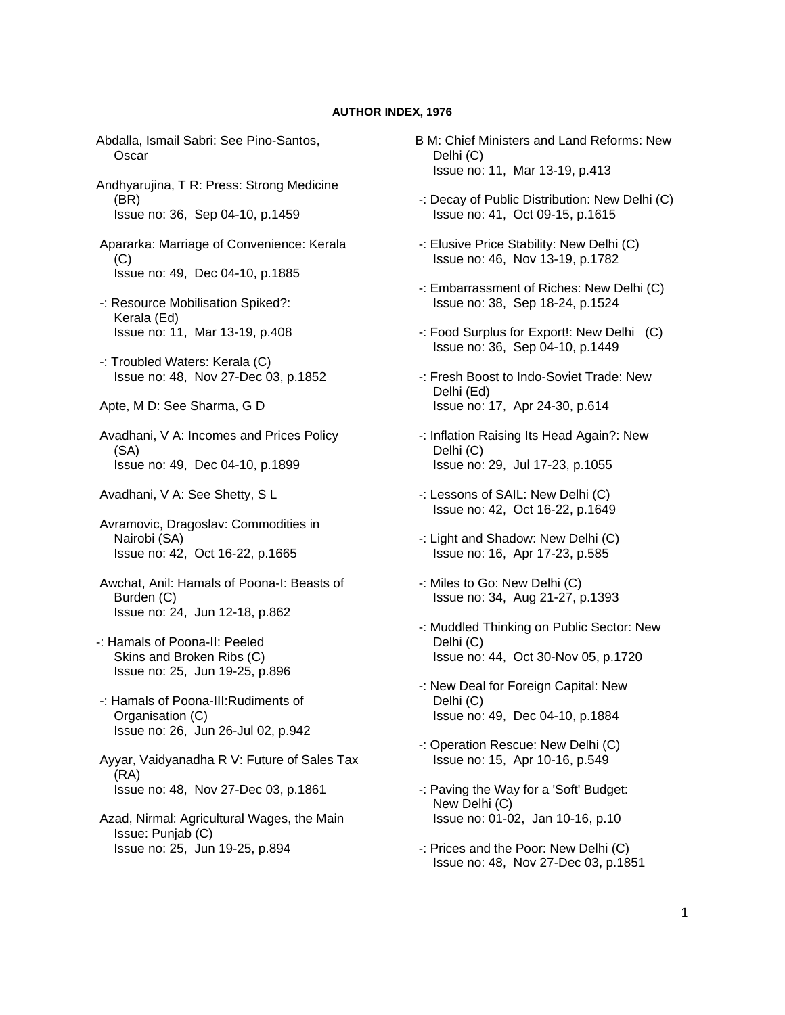## **AUTHOR INDEX, 1976**

- Abdalla, Ismail Sabri: See Pino-Santos, **Oscar**
- Andhyarujina, T R: Press: Strong Medicine (BR) Issue no: 36, Sep 04-10, p.1459
- Apararka: Marriage of Convenience: Kerala (C) Issue no: 49, Dec 04-10, p.1885
- -: Resource Mobilisation Spiked?: Kerala (Ed) Issue no: 11, Mar 13-19, p.408
- -: Troubled Waters: Kerala (C) Issue no: 48, Nov 27-Dec 03, p.1852
- Apte, M D: See Sharma, G D
- Avadhani, V A: Incomes and Prices Policy (SA) Issue no: 49, Dec 04-10, p.1899
- Avadhani, V A: See Shetty, S L
- Avramovic, Dragoslav: Commodities in Nairobi (SA) Issue no: 42, Oct 16-22, p.1665
- Awchat, Anil: Hamals of Poona-I: Beasts of Burden (C) Issue no: 24, Jun 12-18, p.862
- -: Hamals of Poona-II: Peeled Skins and Broken Ribs (C) Issue no: 25, Jun 19-25, p.896
- -: Hamals of Poona-III:Rudiments of Organisation (C) Issue no: 26, Jun 26-Jul 02, p.942
- Ayyar, Vaidyanadha R V: Future of Sales Tax (RA) Issue no: 48, Nov 27-Dec 03, p.1861
- Azad, Nirmal: Agricultural Wages, the Main Issue: Punjab (C) Issue no: 25, Jun 19-25, p.894
- B M: Chief Ministers and Land Reforms: New Delhi (C) Issue no: 11, Mar 13-19, p.413
- -: Decay of Public Distribution: New Delhi (C) Issue no: 41, Oct 09-15, p.1615
- -: Elusive Price Stability: New Delhi (C) Issue no: 46, Nov 13-19, p.1782
- -: Embarrassment of Riches: New Delhi (C) Issue no: 38, Sep 18-24, p.1524
- -: Food Surplus for Export!: New Delhi (C) Issue no: 36, Sep 04-10, p.1449
- -: Fresh Boost to Indo-Soviet Trade: New Delhi (Ed) Issue no: 17, Apr 24-30, p.614
- -: Inflation Raising Its Head Again?: New Delhi (C) Issue no: 29, Jul 17-23, p.1055
- -: Lessons of SAIL: New Delhi (C) Issue no: 42, Oct 16-22, p.1649
- -: Light and Shadow: New Delhi (C) Issue no: 16, Apr 17-23, p.585
- -: Miles to Go: New Delhi (C) Issue no: 34, Aug 21-27, p.1393
- -: Muddled Thinking on Public Sector: New Delhi (C) Issue no: 44, Oct 30-Nov 05, p.1720
- -: New Deal for Foreign Capital: New Delhi (C) Issue no: 49, Dec 04-10, p.1884
- -: Operation Rescue: New Delhi (C) Issue no: 15, Apr 10-16, p.549
- -: Paving the Way for a 'Soft' Budget: New Delhi (C) Issue no: 01-02, Jan 10-16, p.10
- -: Prices and the Poor: New Delhi (C) Issue no: 48, Nov 27-Dec 03, p.1851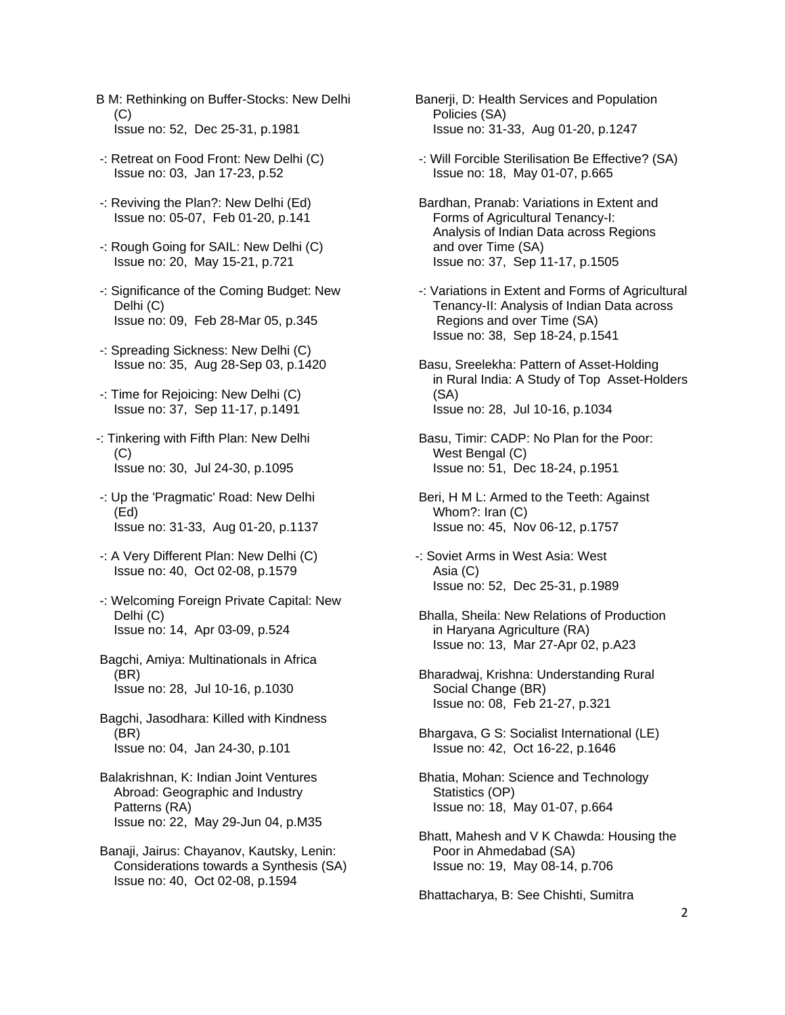- B M: Rethinking on Buffer-Stocks: New Delhi (C) Issue no: 52, Dec 25-31, p.1981
- -: Retreat on Food Front: New Delhi (C) Issue no: 03, Jan 17-23, p.52
- -: Reviving the Plan?: New Delhi (Ed) Issue no: 05-07, Feb 01-20, p.141
- -: Rough Going for SAIL: New Delhi (C) Issue no: 20, May 15-21, p.721
- -: Significance of the Coming Budget: New Delhi (C) Issue no: 09, Feb 28-Mar 05, p.345
- -: Spreading Sickness: New Delhi (C) Issue no: 35, Aug 28-Sep 03, p.1420
- -: Time for Rejoicing: New Delhi (C) Issue no: 37, Sep 11-17, p.1491
- -: Tinkering with Fifth Plan: New Delhi  $(C)$ Issue no: 30, Jul 24-30, p.1095
- -: Up the 'Pragmatic' Road: New Delhi (Ed) Issue no: 31-33, Aug 01-20, p.1137
- -: A Very Different Plan: New Delhi (C) Issue no: 40, Oct 02-08, p.1579
- -: Welcoming Foreign Private Capital: New Delhi (C) Issue no: 14, Apr 03-09, p.524
- Bagchi, Amiya: Multinationals in Africa (BR) Issue no: 28, Jul 10-16, p.1030
- Bagchi, Jasodhara: Killed with Kindness (BR) Issue no: 04, Jan 24-30, p.101
- Balakrishnan, K: Indian Joint Ventures Abroad: Geographic and Industry Patterns (RA) Issue no: 22, May 29-Jun 04, p.M35
- Banaji, Jairus: Chayanov, Kautsky, Lenin: Considerations towards a Synthesis (SA) Issue no: 40, Oct 02-08, p.1594
- Banerji, D: Health Services and Population Policies (SA) Issue no: 31-33, Aug 01-20, p.1247
- -: Will Forcible Sterilisation Be Effective? (SA) Issue no: 18, May 01-07, p.665
- Bardhan, Pranab: Variations in Extent and Forms of Agricultural Tenancy-I: Analysis of Indian Data across Regions and over Time (SA) Issue no: 37, Sep 11-17, p.1505
- -: Variations in Extent and Forms of Agricultural Tenancy-II: Analysis of Indian Data across Regions and over Time (SA) Issue no: 38, Sep 18-24, p.1541
- Basu, Sreelekha: Pattern of Asset-Holding in Rural India: A Study of Top Asset-Holders (SA) Issue no: 28, Jul 10-16, p.1034
- Basu, Timir: CADP: No Plan for the Poor: West Bengal (C) Issue no: 51, Dec 18-24, p.1951
- Beri, H M L: Armed to the Teeth: Against Whom?: Iran (C) Issue no: 45, Nov 06-12, p.1757
- -: Soviet Arms in West Asia: West Asia (C) Issue no: 52, Dec 25-31, p.1989
- Bhalla, Sheila: New Relations of Production in Haryana Agriculture (RA) Issue no: 13, Mar 27-Apr 02, p.A23
- Bharadwaj, Krishna: Understanding Rural Social Change (BR) Issue no: 08, Feb 21-27, p.321
- Bhargava, G S: Socialist International (LE) Issue no: 42, Oct 16-22, p.1646
- Bhatia, Mohan: Science and Technology Statistics (OP) Issue no: 18, May 01-07, p.664
- Bhatt, Mahesh and V K Chawda: Housing the Poor in Ahmedabad (SA) Issue no: 19, May 08-14, p.706

Bhattacharya, B: See Chishti, Sumitra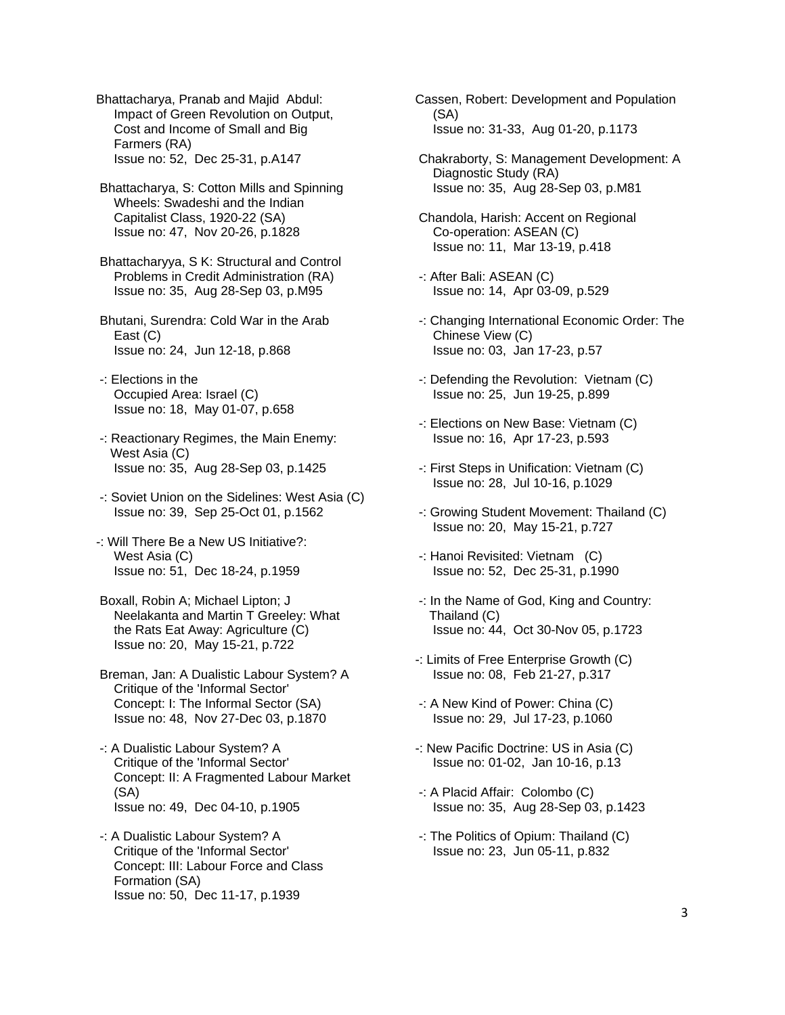Bhattacharya, Pranab and Majid Abdul: Impact of Green Revolution on Output, Cost and Income of Small and Big Farmers (RA) Issue no: 52, Dec 25-31, p.A147

 Bhattacharya, S: Cotton Mills and Spinning Wheels: Swadeshi and the Indian Capitalist Class, 1920-22 (SA) Issue no: 47, Nov 20-26, p.1828

 Bhattacharyya, S K: Structural and Control Problems in Credit Administration (RA) Issue no: 35, Aug 28-Sep 03, p.M95

 Bhutani, Surendra: Cold War in the Arab East (C) Issue no: 24, Jun 12-18, p.868

- -: Elections in the Occupied Area: Israel (C) Issue no: 18, May 01-07, p.658
- -: Reactionary Regimes, the Main Enemy: West Asia (C) Issue no: 35, Aug 28-Sep 03, p.1425
- -: Soviet Union on the Sidelines: West Asia (C) Issue no: 39, Sep 25-Oct 01, p.1562
- -: Will There Be a New US Initiative?: West Asia (C) Issue no: 51, Dec 18-24, p.1959

 Boxall, Robin A; Michael Lipton; J Neelakanta and Martin T Greeley: What the Rats Eat Away: Agriculture (C) Issue no: 20, May 15-21, p.722

 Breman, Jan: A Dualistic Labour System? A Critique of the 'Informal Sector' Concept: I: The Informal Sector (SA) Issue no: 48, Nov 27-Dec 03, p.1870

 -: A Dualistic Labour System? A Critique of the 'Informal Sector' Concept: II: A Fragmented Labour Market (SA) Issue no: 49, Dec 04-10, p.1905

 -: A Dualistic Labour System? A Critique of the 'Informal Sector' Concept: III: Labour Force and Class Formation (SA) Issue no: 50, Dec 11-17, p.1939

Cassen, Robert: Development and Population (SA) Issue no: 31-33, Aug 01-20, p.1173

 Chakraborty, S: Management Development: A Diagnostic Study (RA) Issue no: 35, Aug 28-Sep 03, p.M81

 Chandola, Harish: Accent on Regional Co-operation: ASEAN (C) Issue no: 11, Mar 13-19, p.418

- -: After Bali: ASEAN (C) Issue no: 14, Apr 03-09, p.529
- -: Changing International Economic Order: The Chinese View (C) Issue no: 03, Jan 17-23, p.57
- -: Defending the Revolution: Vietnam (C) Issue no: 25, Jun 19-25, p.899
- -: Elections on New Base: Vietnam (C) Issue no: 16, Apr 17-23, p.593
- -: First Steps in Unification: Vietnam (C) Issue no: 28, Jul 10-16, p.1029
- -: Growing Student Movement: Thailand (C) Issue no: 20, May 15-21, p.727
- -: Hanoi Revisited: Vietnam (C) Issue no: 52, Dec 25-31, p.1990
- -: In the Name of God, King and Country: Thailand (C) Issue no: 44, Oct 30-Nov 05, p.1723
- -: Limits of Free Enterprise Growth (C) Issue no: 08, Feb 21-27, p.317
- -: A New Kind of Power: China (C) Issue no: 29, Jul 17-23, p.1060
- -: New Pacific Doctrine: US in Asia (C) Issue no: 01-02, Jan 10-16, p.13
- -: A Placid Affair: Colombo (C) Issue no: 35, Aug 28-Sep 03, p.1423
- -: The Politics of Opium: Thailand (C) Issue no: 23, Jun 05-11, p.832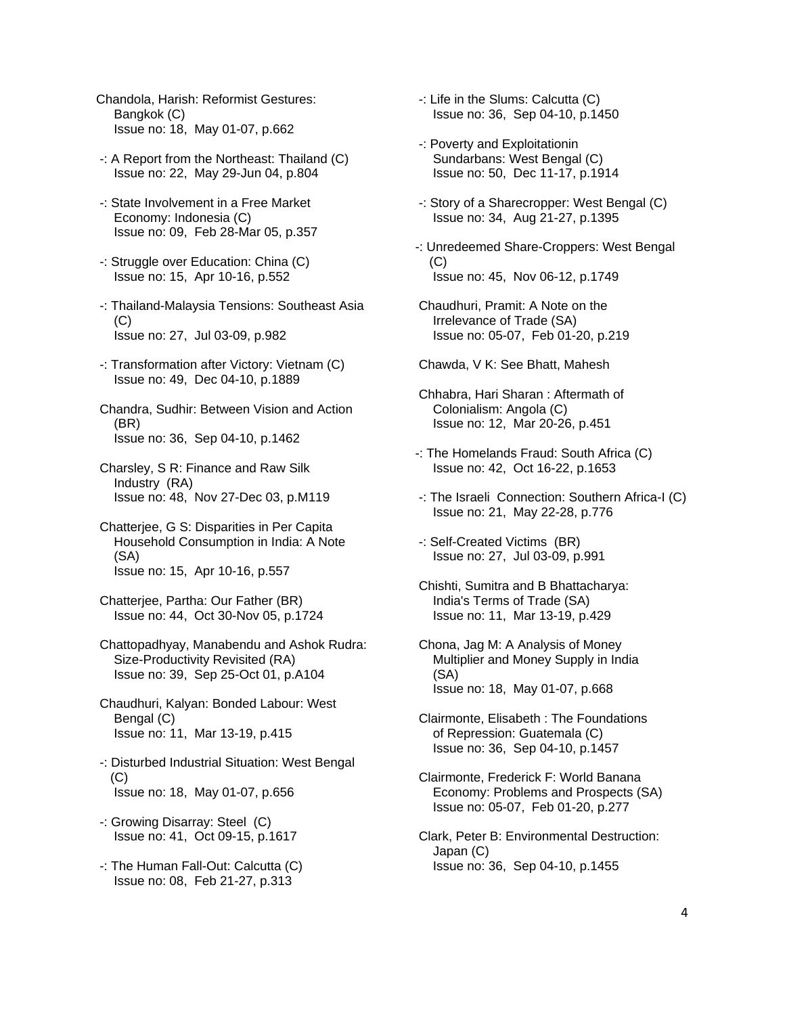- Chandola, Harish: Reformist Gestures: Bangkok (C) Issue no: 18, May 01-07, p.662
- -: A Report from the Northeast: Thailand (C) Issue no: 22, May 29-Jun 04, p.804
- -: State Involvement in a Free Market Economy: Indonesia (C) Issue no: 09, Feb 28-Mar 05, p.357
- -: Struggle over Education: China (C) Issue no: 15, Apr 10-16, p.552
- -: Thailand-Malaysia Tensions: Southeast Asia  $(C)$ Issue no: 27, Jul 03-09, p.982
- -: Transformation after Victory: Vietnam (C) Issue no: 49, Dec 04-10, p.1889
- Chandra, Sudhir: Between Vision and Action (BR) Issue no: 36, Sep 04-10, p.1462
- Charsley, S R: Finance and Raw Silk Industry (RA) Issue no: 48, Nov 27-Dec 03, p.M119
- Chatterjee, G S: Disparities in Per Capita Household Consumption in India: A Note (SA) Issue no: 15, Apr 10-16, p.557
- Chatterjee, Partha: Our Father (BR) Issue no: 44, Oct 30-Nov 05, p.1724
- Chattopadhyay, Manabendu and Ashok Rudra: Size-Productivity Revisited (RA) Issue no: 39, Sep 25-Oct 01, p.A104
- Chaudhuri, Kalyan: Bonded Labour: West Bengal (C) Issue no: 11, Mar 13-19, p.415
- -: Disturbed Industrial Situation: West Bengal  $(C)$ Issue no: 18, May 01-07, p.656
- -: Growing Disarray: Steel (C) Issue no: 41, Oct 09-15, p.1617
- -: The Human Fall-Out: Calcutta (C) Issue no: 08, Feb 21-27, p.313
- -: Life in the Slums: Calcutta (C) Issue no: 36, Sep 04-10, p.1450
- -: Poverty and Exploitationin Sundarbans: West Bengal (C) Issue no: 50, Dec 11-17, p.1914
- -: Story of a Sharecropper: West Bengal (C) Issue no: 34, Aug 21-27, p.1395
- -: Unredeemed Share-Croppers: West Bengal (C) Issue no: 45, Nov 06-12, p.1749
- Chaudhuri, Pramit: A Note on the Irrelevance of Trade (SA) Issue no: 05-07, Feb 01-20, p.219
- Chawda, V K: See Bhatt, Mahesh
- Chhabra, Hari Sharan : Aftermath of Colonialism: Angola (C) Issue no: 12, Mar 20-26, p.451
- -: The Homelands Fraud: South Africa (C) Issue no: 42, Oct 16-22, p.1653
- -: The Israeli Connection: Southern Africa-I (C) Issue no: 21, May 22-28, p.776
- -: Self-Created Victims (BR) Issue no: 27, Jul 03-09, p.991
- Chishti, Sumitra and B Bhattacharya: India's Terms of Trade (SA) Issue no: 11, Mar 13-19, p.429
- Chona, Jag M: A Analysis of Money Multiplier and Money Supply in India (SA) Issue no: 18, May 01-07, p.668
- Clairmonte, Elisabeth : The Foundations of Repression: Guatemala (C) Issue no: 36, Sep 04-10, p.1457
- Clairmonte, Frederick F: World Banana Economy: Problems and Prospects (SA) Issue no: 05-07, Feb 01-20, p.277
- Clark, Peter B: Environmental Destruction: Japan (C) Issue no: 36, Sep 04-10, p.1455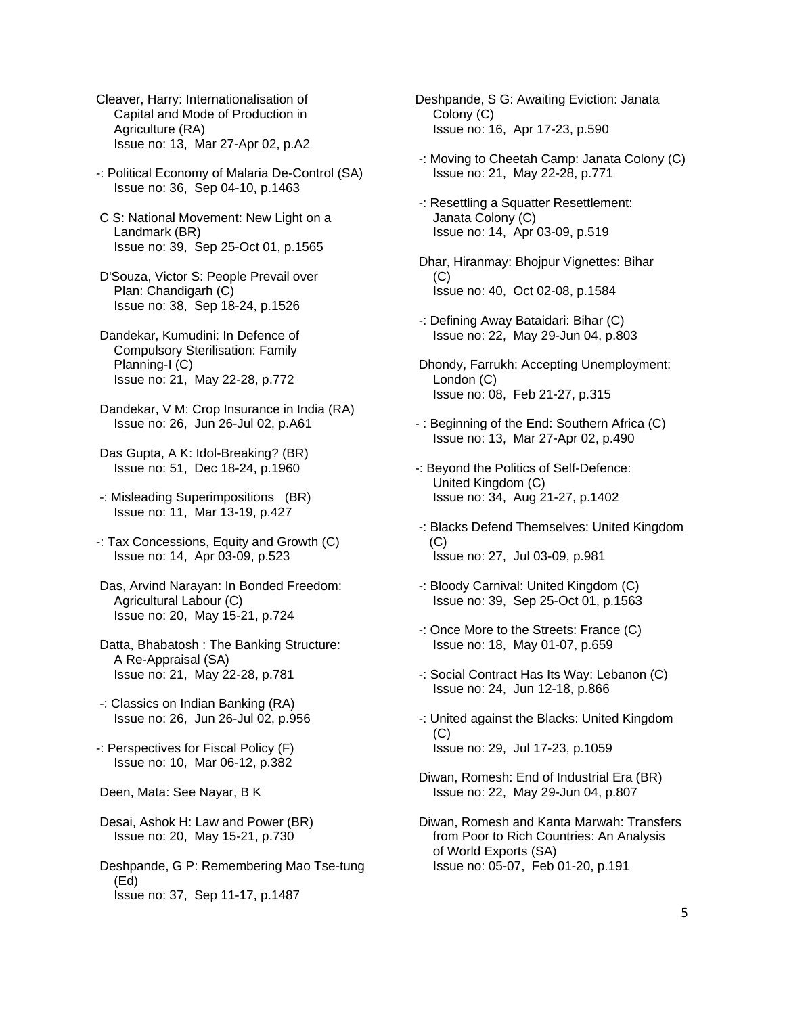Cleaver, Harry: Internationalisation of Capital and Mode of Production in Agriculture (RA) Issue no: 13, Mar 27-Apr 02, p.A2

- -: Political Economy of Malaria De-Control (SA) Issue no: 36, Sep 04-10, p.1463
- C S: National Movement: New Light on a Landmark (BR) Issue no: 39, Sep 25-Oct 01, p.1565
- D'Souza, Victor S: People Prevail over Plan: Chandigarh (C) Issue no: 38, Sep 18-24, p.1526
- Dandekar, Kumudini: In Defence of Compulsory Sterilisation: Family Planning-I (C) Issue no: 21, May 22-28, p.772
- Dandekar, V M: Crop Insurance in India (RA) Issue no: 26, Jun 26-Jul 02, p.A61
- Das Gupta, A K: Idol-Breaking? (BR) Issue no: 51, Dec 18-24, p.1960
- -: Misleading Superimpositions (BR) Issue no: 11, Mar 13-19, p.427
- -: Tax Concessions, Equity and Growth (C) Issue no: 14, Apr 03-09, p.523
- Das, Arvind Narayan: In Bonded Freedom: Agricultural Labour (C) Issue no: 20, May 15-21, p.724
- Datta, Bhabatosh : The Banking Structure: A Re-Appraisal (SA) Issue no: 21, May 22-28, p.781
- -: Classics on Indian Banking (RA) Issue no: 26, Jun 26-Jul 02, p.956
- -: Perspectives for Fiscal Policy (F) Issue no: 10, Mar 06-12, p.382
- Deen, Mata: See Nayar, B K
- Desai, Ashok H: Law and Power (BR) Issue no: 20, May 15-21, p.730
- Deshpande, G P: Remembering Mao Tse-tung (Ed) Issue no: 37, Sep 11-17, p.1487
- Deshpande, S G: Awaiting Eviction: Janata Colony (C) Issue no: 16, Apr 17-23, p.590
- -: Moving to Cheetah Camp: Janata Colony (C) Issue no: 21, May 22-28, p.771
- -: Resettling a Squatter Resettlement: Janata Colony (C) Issue no: 14, Apr 03-09, p.519
- Dhar, Hiranmay: Bhojpur Vignettes: Bihar  $(C)$ Issue no: 40, Oct 02-08, p.1584
- -: Defining Away Bataidari: Bihar (C) Issue no: 22, May 29-Jun 04, p.803
- Dhondy, Farrukh: Accepting Unemployment: London (C) Issue no: 08, Feb 21-27, p.315
- : Beginning of the End: Southern Africa (C) Issue no: 13, Mar 27-Apr 02, p.490
- -: Beyond the Politics of Self-Defence: United Kingdom (C) Issue no: 34, Aug 21-27, p.1402
- -: Blacks Defend Themselves: United Kingdom  $(C)$ Issue no: 27, Jul 03-09, p.981
- -: Bloody Carnival: United Kingdom (C) Issue no: 39, Sep 25-Oct 01, p.1563
- -: Once More to the Streets: France (C) Issue no: 18, May 01-07, p.659
- -: Social Contract Has Its Way: Lebanon (C) Issue no: 24, Jun 12-18, p.866
- -: United against the Blacks: United Kingdom (C) Issue no: 29, Jul 17-23, p.1059
- Diwan, Romesh: End of Industrial Era (BR) Issue no: 22, May 29-Jun 04, p.807
- Diwan, Romesh and Kanta Marwah: Transfers from Poor to Rich Countries: An Analysis of World Exports (SA) Issue no: 05-07, Feb 01-20, p.191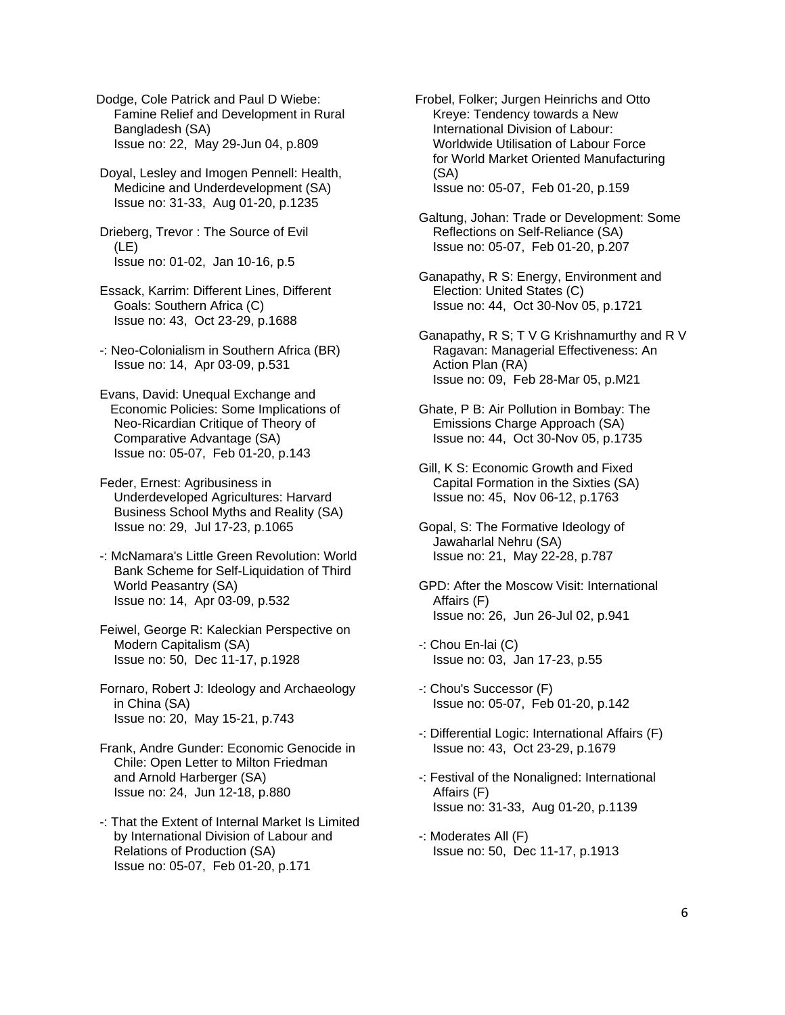Dodge, Cole Patrick and Paul D Wiebe: Famine Relief and Development in Rural Bangladesh (SA) Issue no: 22, May 29-Jun 04, p.809

 Doyal, Lesley and Imogen Pennell: Health, Medicine and Underdevelopment (SA) Issue no: 31-33, Aug 01-20, p.1235

 Drieberg, Trevor : The Source of Evil (LE) Issue no: 01-02, Jan 10-16, p.5

 Essack, Karrim: Different Lines, Different Goals: Southern Africa (C) Issue no: 43, Oct 23-29, p.1688

 -: Neo-Colonialism in Southern Africa (BR) Issue no: 14, Apr 03-09, p.531

 Evans, David: Unequal Exchange and Economic Policies: Some Implications of Neo-Ricardian Critique of Theory of Comparative Advantage (SA) Issue no: 05-07, Feb 01-20, p.143

 Feder, Ernest: Agribusiness in Underdeveloped Agricultures: Harvard Business School Myths and Reality (SA) Issue no: 29, Jul 17-23, p.1065

 -: McNamara's Little Green Revolution: World Bank Scheme for Self-Liquidation of Third World Peasantry (SA) Issue no: 14, Apr 03-09, p.532

 Feiwel, George R: Kaleckian Perspective on Modern Capitalism (SA) Issue no: 50, Dec 11-17, p.1928

 Fornaro, Robert J: Ideology and Archaeology in China (SA) Issue no: 20, May 15-21, p.743

 Frank, Andre Gunder: Economic Genocide in Chile: Open Letter to Milton Friedman and Arnold Harberger (SA) Issue no: 24, Jun 12-18, p.880

 -: That the Extent of Internal Market Is Limited by International Division of Labour and Relations of Production (SA) Issue no: 05-07, Feb 01-20, p.171

Frobel, Folker; Jurgen Heinrichs and Otto Kreye: Tendency towards a New International Division of Labour: Worldwide Utilisation of Labour Force for World Market Oriented Manufacturing (SA) Issue no: 05-07, Feb 01-20, p.159

 Galtung, Johan: Trade or Development: Some Reflections on Self-Reliance (SA) Issue no: 05-07, Feb 01-20, p.207

 Ganapathy, R S: Energy, Environment and Election: United States (C) Issue no: 44, Oct 30-Nov 05, p.1721

 Ganapathy, R S; T V G Krishnamurthy and R V Ragavan: Managerial Effectiveness: An Action Plan (RA) Issue no: 09, Feb 28-Mar 05, p.M21

 Ghate, P B: Air Pollution in Bombay: The Emissions Charge Approach (SA) Issue no: 44, Oct 30-Nov 05, p.1735

 Gill, K S: Economic Growth and Fixed Capital Formation in the Sixties (SA) Issue no: 45, Nov 06-12, p.1763

 Gopal, S: The Formative Ideology of Jawaharlal Nehru (SA) Issue no: 21, May 22-28, p.787

 GPD: After the Moscow Visit: International Affairs (F) Issue no: 26, Jun 26-Jul 02, p.941

 -: Chou En-lai (C) Issue no: 03, Jan 17-23, p.55

 -: Chou's Successor (F) Issue no: 05-07, Feb 01-20, p.142

 -: Differential Logic: International Affairs (F) Issue no: 43, Oct 23-29, p.1679

 -: Festival of the Nonaligned: International Affairs (F) Issue no: 31-33, Aug 01-20, p.1139

 -: Moderates All (F) Issue no: 50, Dec 11-17, p.1913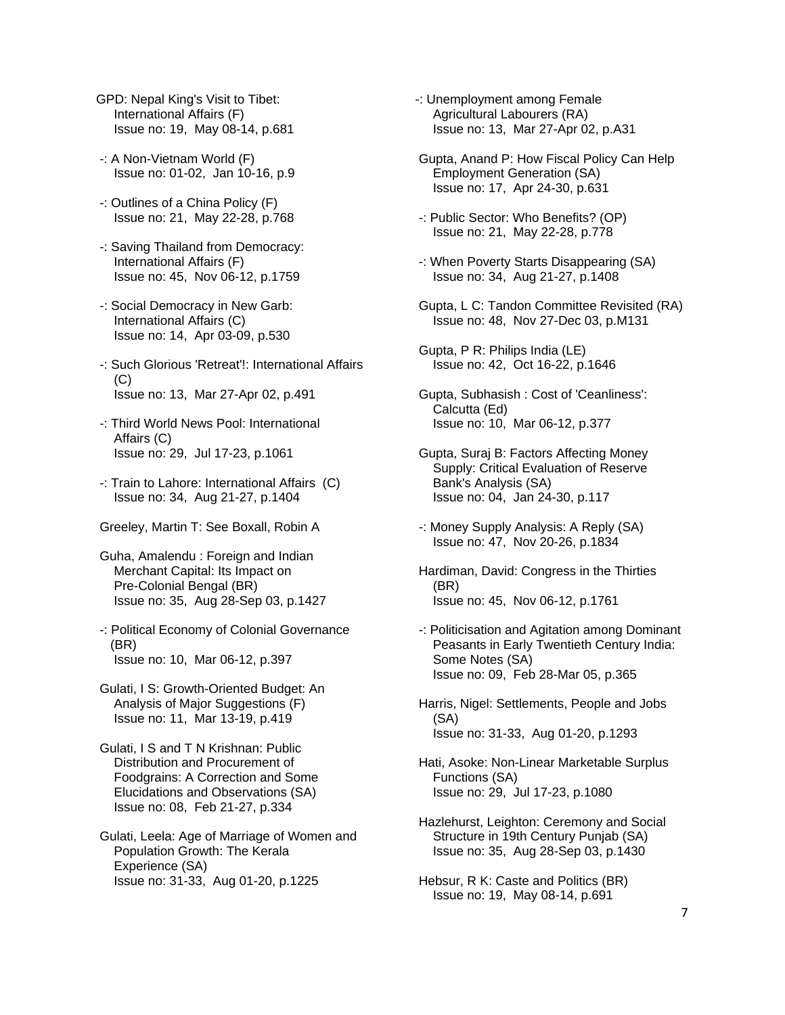- GPD: Nepal King's Visit to Tibet: International Affairs (F) Issue no: 19, May 08-14, p.681
- -: A Non-Vietnam World (F) Issue no: 01-02, Jan 10-16, p.9
- -: Outlines of a China Policy (F) Issue no: 21, May 22-28, p.768
- -: Saving Thailand from Democracy: International Affairs (F) Issue no: 45, Nov 06-12, p.1759
- -: Social Democracy in New Garb: International Affairs (C) Issue no: 14, Apr 03-09, p.530
- -: Such Glorious 'Retreat'!: International Affairs (C) Issue no: 13, Mar 27-Apr 02, p.491
- -: Third World News Pool: International Affairs (C) Issue no: 29, Jul 17-23, p.1061
- -: Train to Lahore: International Affairs (C) Issue no: 34, Aug 21-27, p.1404
- Greeley, Martin T: See Boxall, Robin A
- Guha, Amalendu : Foreign and Indian Merchant Capital: Its Impact on Pre-Colonial Bengal (BR) Issue no: 35, Aug 28-Sep 03, p.1427
- -: Political Economy of Colonial Governance (BR) Issue no: 10, Mar 06-12, p.397
- Gulati, I S: Growth-Oriented Budget: An Analysis of Major Suggestions (F) Issue no: 11, Mar 13-19, p.419
- Gulati, I S and T N Krishnan: Public Distribution and Procurement of Foodgrains: A Correction and Some Elucidations and Observations (SA) Issue no: 08, Feb 21-27, p.334
- Gulati, Leela: Age of Marriage of Women and Population Growth: The Kerala Experience (SA) Issue no: 31-33, Aug 01-20, p.1225
- -: Unemployment among Female Agricultural Labourers (RA) Issue no: 13, Mar 27-Apr 02, p.A31
- Gupta, Anand P: How Fiscal Policy Can Help Employment Generation (SA) Issue no: 17, Apr 24-30, p.631
- -: Public Sector: Who Benefits? (OP) Issue no: 21, May 22-28, p.778
- -: When Poverty Starts Disappearing (SA) Issue no: 34, Aug 21-27, p.1408
- Gupta, L C: Tandon Committee Revisited (RA) Issue no: 48, Nov 27-Dec 03, p.M131
- Gupta, P R: Philips India (LE) Issue no: 42, Oct 16-22, p.1646
- Gupta, Subhasish : Cost of 'Ceanliness': Calcutta (Ed) Issue no: 10, Mar 06-12, p.377
- Gupta, Suraj B: Factors Affecting Money Supply: Critical Evaluation of Reserve Bank's Analysis (SA) Issue no: 04, Jan 24-30, p.117
- -: Money Supply Analysis: A Reply (SA) Issue no: 47, Nov 20-26, p.1834
- Hardiman, David: Congress in the Thirties (BR) Issue no: 45, Nov 06-12, p.1761
- -: Politicisation and Agitation among Dominant Peasants in Early Twentieth Century India: Some Notes (SA) Issue no: 09, Feb 28-Mar 05, p.365
- Harris, Nigel: Settlements, People and Jobs (SA) Issue no: 31-33, Aug 01-20, p.1293
- Hati, Asoke: Non-Linear Marketable Surplus Functions (SA) Issue no: 29, Jul 17-23, p.1080
- Hazlehurst, Leighton: Ceremony and Social Structure in 19th Century Punjab (SA) Issue no: 35, Aug 28-Sep 03, p.1430
- Hebsur, R K: Caste and Politics (BR) Issue no: 19, May 08-14, p.691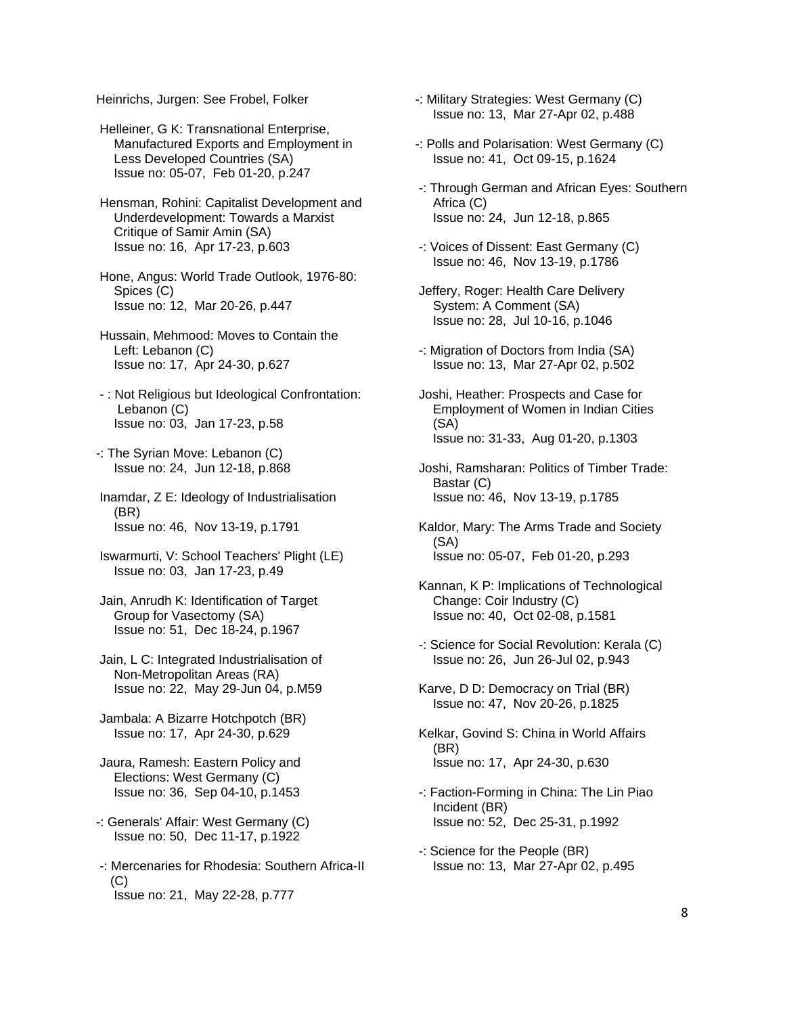Heinrichs, Jurgen: See Frobel, Folker

 Helleiner, G K: Transnational Enterprise, Manufactured Exports and Employment in Less Developed Countries (SA) Issue no: 05-07, Feb 01-20, p.247

 Hensman, Rohini: Capitalist Development and Underdevelopment: Towards a Marxist Critique of Samir Amin (SA) Issue no: 16, Apr 17-23, p.603

 Hone, Angus: World Trade Outlook, 1976-80: Spices (C) Issue no: 12, Mar 20-26, p.447

 Hussain, Mehmood: Moves to Contain the Left: Lebanon (C) Issue no: 17, Apr 24-30, p.627

 - : Not Religious but Ideological Confrontation: Lebanon (C) Issue no: 03, Jan 17-23, p.58

-: The Syrian Move: Lebanon (C) Issue no: 24, Jun 12-18, p.868

 Inamdar, Z E: Ideology of Industrialisation (BR) Issue no: 46, Nov 13-19, p.1791

 Iswarmurti, V: School Teachers' Plight (LE) Issue no: 03, Jan 17-23, p.49

 Jain, Anrudh K: Identification of Target Group for Vasectomy (SA) Issue no: 51, Dec 18-24, p.1967

 Jain, L C: Integrated Industrialisation of Non-Metropolitan Areas (RA) Issue no: 22, May 29-Jun 04, p.M59

 Jambala: A Bizarre Hotchpotch (BR) Issue no: 17, Apr 24-30, p.629

 Jaura, Ramesh: Eastern Policy and Elections: West Germany (C) Issue no: 36, Sep 04-10, p.1453

-: Generals' Affair: West Germany (C) Issue no: 50, Dec 11-17, p.1922

 -: Mercenaries for Rhodesia: Southern Africa-II  $(C)$ Issue no: 21, May 22-28, p.777

-: Military Strategies: West Germany (C) Issue no: 13, Mar 27-Apr 02, p.488

- -: Polls and Polarisation: West Germany (C) Issue no: 41, Oct 09-15, p.1624
- -: Through German and African Eyes: Southern Africa (C) Issue no: 24, Jun 12-18, p.865
- -: Voices of Dissent: East Germany (C) Issue no: 46, Nov 13-19, p.1786
- Jeffery, Roger: Health Care Delivery System: A Comment (SA) Issue no: 28, Jul 10-16, p.1046
- -: Migration of Doctors from India (SA) Issue no: 13, Mar 27-Apr 02, p.502
- Joshi, Heather: Prospects and Case for Employment of Women in Indian Cities (SA) Issue no: 31-33, Aug 01-20, p.1303
- Joshi, Ramsharan: Politics of Timber Trade: Bastar (C) Issue no: 46, Nov 13-19, p.1785
- Kaldor, Mary: The Arms Trade and Society (SA) Issue no: 05-07, Feb 01-20, p.293
- Kannan, K P: Implications of Technological Change: Coir Industry (C) Issue no: 40, Oct 02-08, p.1581
- -: Science for Social Revolution: Kerala (C) Issue no: 26, Jun 26-Jul 02, p.943
- Karve, D D: Democracy on Trial (BR) Issue no: 47, Nov 20-26, p.1825
- Kelkar, Govind S: China in World Affairs (BR) Issue no: 17, Apr 24-30, p.630
- -: Faction-Forming in China: The Lin Piao Incident (BR) Issue no: 52, Dec 25-31, p.1992
- -: Science for the People (BR) Issue no: 13, Mar 27-Apr 02, p.495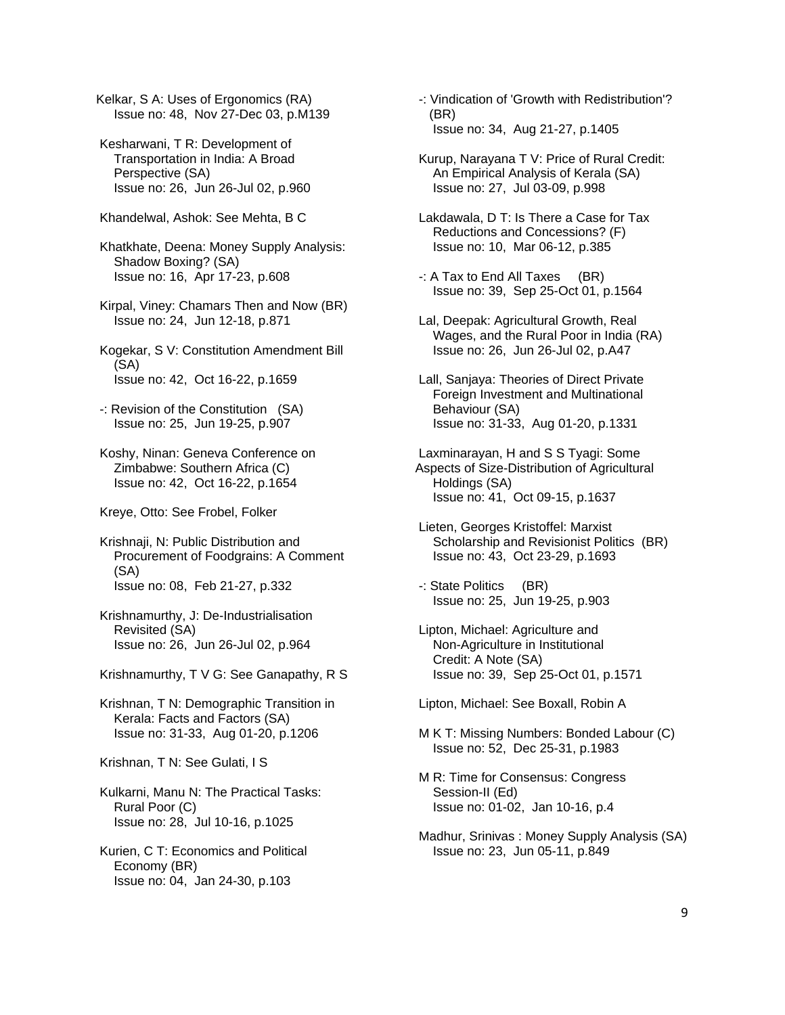Kelkar, S A: Uses of Ergonomics (RA) Issue no: 48, Nov 27-Dec 03, p.M139

 Kesharwani, T R: Development of Transportation in India: A Broad Perspective (SA) Issue no: 26, Jun 26-Jul 02, p.960

Khandelwal, Ashok: See Mehta, B C

 Khatkhate, Deena: Money Supply Analysis: Shadow Boxing? (SA) Issue no: 16, Apr 17-23, p.608

 Kirpal, Viney: Chamars Then and Now (BR) Issue no: 24, Jun 12-18, p.871

 Kogekar, S V: Constitution Amendment Bill (SA) Issue no: 42, Oct 16-22, p.1659

 -: Revision of the Constitution (SA) Issue no: 25, Jun 19-25, p.907

 Koshy, Ninan: Geneva Conference on Zimbabwe: Southern Africa (C) Issue no: 42, Oct 16-22, p.1654

Kreye, Otto: See Frobel, Folker

 Krishnaji, N: Public Distribution and Procurement of Foodgrains: A Comment (SA) Issue no: 08, Feb 21-27, p.332

 Krishnamurthy, J: De-Industrialisation Revisited (SA) Issue no: 26, Jun 26-Jul 02, p.964

Krishnamurthy, T V G: See Ganapathy, R S

 Krishnan, T N: Demographic Transition in Kerala: Facts and Factors (SA) Issue no: 31-33, Aug 01-20, p.1206

Krishnan, T N: See Gulati, I S

 Kulkarni, Manu N: The Practical Tasks: Rural Poor (C) Issue no: 28, Jul 10-16, p.1025

 Kurien, C T: Economics and Political Economy (BR) Issue no: 04, Jan 24-30, p.103

 -: Vindication of 'Growth with Redistribution'? (BR) Issue no: 34, Aug 21-27, p.1405

 Kurup, Narayana T V: Price of Rural Credit: An Empirical Analysis of Kerala (SA) Issue no: 27, Jul 03-09, p.998

 Lakdawala, D T: Is There a Case for Tax Reductions and Concessions? (F) Issue no: 10, Mar 06-12, p.385

 -: A Tax to End All Taxes (BR) Issue no: 39, Sep 25-Oct 01, p.1564

 Lal, Deepak: Agricultural Growth, Real Wages, and the Rural Poor in India (RA) Issue no: 26, Jun 26-Jul 02, p.A47

 Lall, Sanjaya: Theories of Direct Private Foreign Investment and Multinational Behaviour (SA) Issue no: 31-33, Aug 01-20, p.1331

 Laxminarayan, H and S S Tyagi: Some Aspects of Size-Distribution of Agricultural Holdings (SA) Issue no: 41, Oct 09-15, p.1637

 Lieten, Georges Kristoffel: Marxist Scholarship and Revisionist Politics (BR) Issue no: 43, Oct 23-29, p.1693

 -: State Politics (BR) Issue no: 25, Jun 19-25, p.903

 Lipton, Michael: Agriculture and Non-Agriculture in Institutional Credit: A Note (SA) Issue no: 39, Sep 25-Oct 01, p.1571

Lipton, Michael: See Boxall, Robin A

 M K T: Missing Numbers: Bonded Labour (C) Issue no: 52, Dec 25-31, p.1983

 M R: Time for Consensus: Congress Session-II (Ed) Issue no: 01-02, Jan 10-16, p.4

 Madhur, Srinivas : Money Supply Analysis (SA) Issue no: 23, Jun 05-11, p.849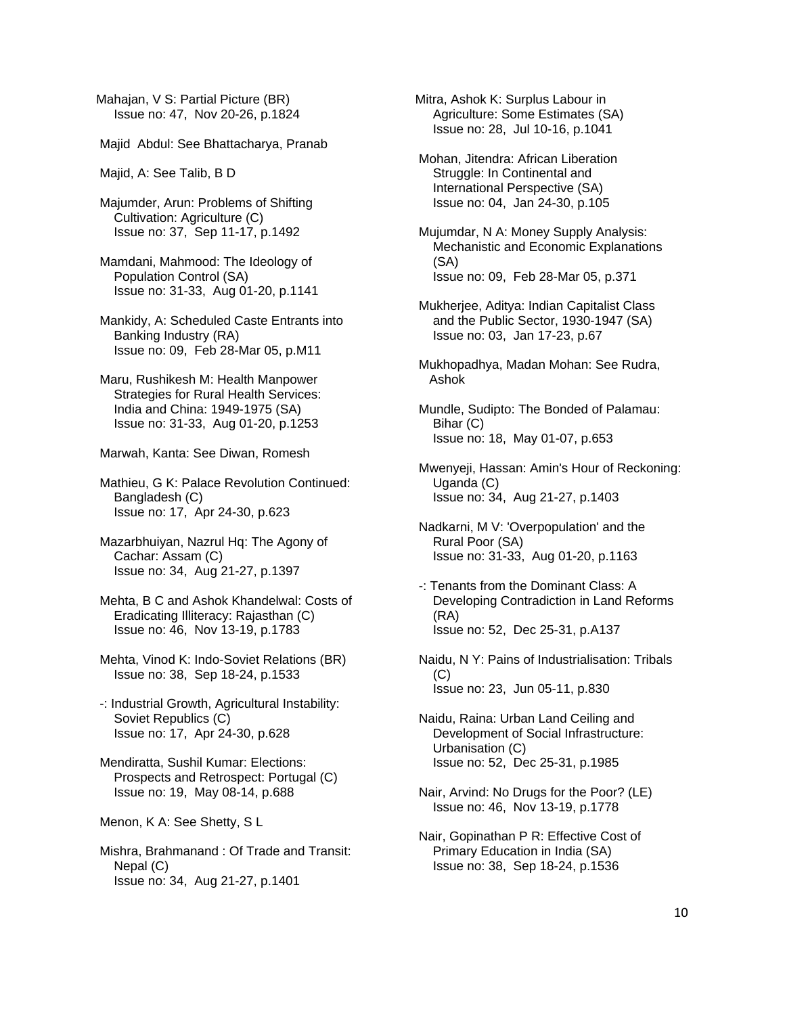Mahajan, V S: Partial Picture (BR) Issue no: 47, Nov 20-26, p.1824

Majid Abdul: See Bhattacharya, Pranab

Majid, A: See Talib, B D

 Majumder, Arun: Problems of Shifting Cultivation: Agriculture (C) Issue no: 37, Sep 11-17, p.1492

 Mamdani, Mahmood: The Ideology of Population Control (SA) Issue no: 31-33, Aug 01-20, p.1141

 Mankidy, A: Scheduled Caste Entrants into Banking Industry (RA) Issue no: 09, Feb 28-Mar 05, p.M11

 Maru, Rushikesh M: Health Manpower Strategies for Rural Health Services: India and China: 1949-1975 (SA) Issue no: 31-33, Aug 01-20, p.1253

Marwah, Kanta: See Diwan, Romesh

 Mathieu, G K: Palace Revolution Continued: Bangladesh (C) Issue no: 17, Apr 24-30, p.623

 Mazarbhuiyan, Nazrul Hq: The Agony of Cachar: Assam (C) Issue no: 34, Aug 21-27, p.1397

 Mehta, B C and Ashok Khandelwal: Costs of Eradicating Illiteracy: Rajasthan (C) Issue no: 46, Nov 13-19, p.1783

 Mehta, Vinod K: Indo-Soviet Relations (BR) Issue no: 38, Sep 18-24, p.1533

 -: Industrial Growth, Agricultural Instability: Soviet Republics (C) Issue no: 17, Apr 24-30, p.628

 Mendiratta, Sushil Kumar: Elections: Prospects and Retrospect: Portugal (C) Issue no: 19, May 08-14, p.688

Menon, K A: See Shetty, S L

 Mishra, Brahmanand : Of Trade and Transit: Nepal (C) Issue no: 34, Aug 21-27, p.1401

Mitra, Ashok K: Surplus Labour in Agriculture: Some Estimates (SA) Issue no: 28, Jul 10-16, p.1041

 Mohan, Jitendra: African Liberation Struggle: In Continental and International Perspective (SA) Issue no: 04, Jan 24-30, p.105

 Mujumdar, N A: Money Supply Analysis: Mechanistic and Economic Explanations (SA) Issue no: 09, Feb 28-Mar 05, p.371

 Mukherjee, Aditya: Indian Capitalist Class and the Public Sector, 1930-1947 (SA) Issue no: 03, Jan 17-23, p.67

 Mukhopadhya, Madan Mohan: See Rudra, Ashok

 Mundle, Sudipto: The Bonded of Palamau: Bihar (C) Issue no: 18, May 01-07, p.653

 Mwenyeji, Hassan: Amin's Hour of Reckoning: Uganda (C) Issue no: 34, Aug 21-27, p.1403

 Nadkarni, M V: 'Overpopulation' and the Rural Poor (SA) Issue no: 31-33, Aug 01-20, p.1163

 -: Tenants from the Dominant Class: A Developing Contradiction in Land Reforms (RA) Issue no: 52, Dec 25-31, p.A137

 Naidu, N Y: Pains of Industrialisation: Tribals  $(C)$ Issue no: 23, Jun 05-11, p.830

 Naidu, Raina: Urban Land Ceiling and Development of Social Infrastructure: Urbanisation (C) Issue no: 52, Dec 25-31, p.1985

 Nair, Arvind: No Drugs for the Poor? (LE) Issue no: 46, Nov 13-19, p.1778

 Nair, Gopinathan P R: Effective Cost of Primary Education in India (SA) Issue no: 38, Sep 18-24, p.1536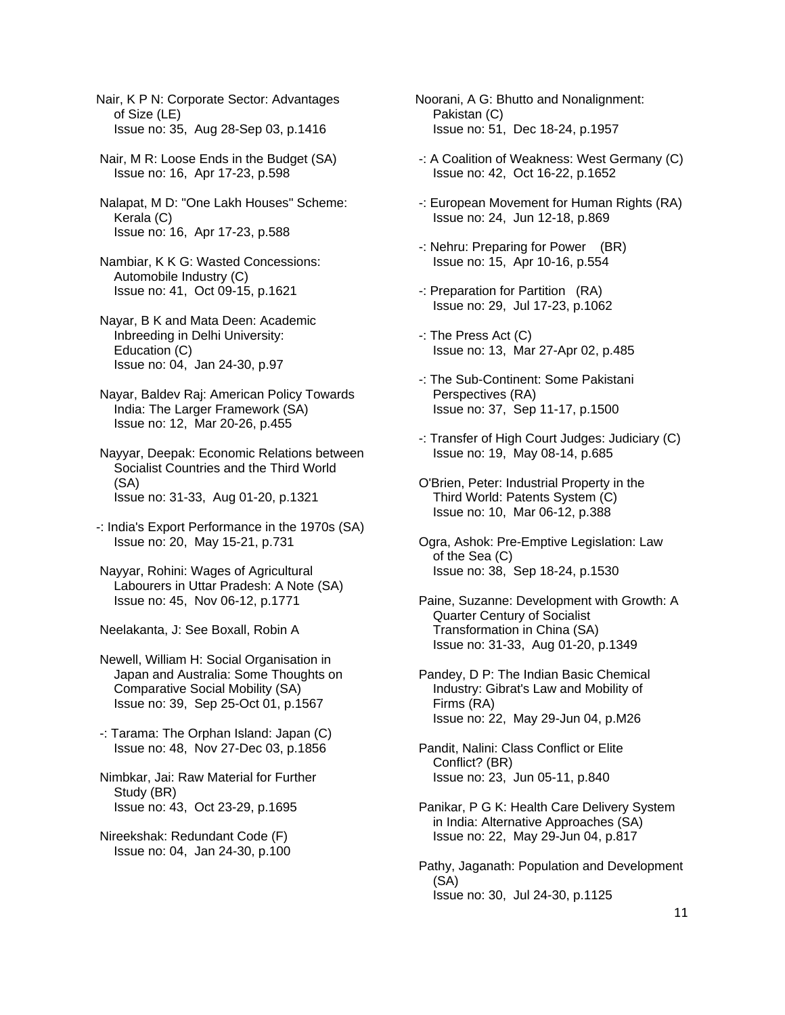Nair, K P N: Corporate Sector: Advantages of Size (LE) Issue no: 35, Aug 28-Sep 03, p.1416

 Nair, M R: Loose Ends in the Budget (SA) Issue no: 16, Apr 17-23, p.598

 Nalapat, M D: "One Lakh Houses" Scheme: Kerala (C) Issue no: 16, Apr 17-23, p.588

 Nambiar, K K G: Wasted Concessions: Automobile Industry (C) Issue no: 41, Oct 09-15, p.1621

 Nayar, B K and Mata Deen: Academic Inbreeding in Delhi University: Education (C) Issue no: 04, Jan 24-30, p.97

 Nayar, Baldev Raj: American Policy Towards India: The Larger Framework (SA) Issue no: 12, Mar 20-26, p.455

 Nayyar, Deepak: Economic Relations between Socialist Countries and the Third World (SA) Issue no: 31-33, Aug 01-20, p.1321

-: India's Export Performance in the 1970s (SA) Issue no: 20, May 15-21, p.731

 Nayyar, Rohini: Wages of Agricultural Labourers in Uttar Pradesh: A Note (SA) Issue no: 45, Nov 06-12, p.1771

Neelakanta, J: See Boxall, Robin A

 Newell, William H: Social Organisation in Japan and Australia: Some Thoughts on Comparative Social Mobility (SA) Issue no: 39, Sep 25-Oct 01, p.1567

 -: Tarama: The Orphan Island: Japan (C) Issue no: 48, Nov 27-Dec 03, p.1856

 Nimbkar, Jai: Raw Material for Further Study (BR) Issue no: 43, Oct 23-29, p.1695

 Nireekshak: Redundant Code (F) Issue no: 04, Jan 24-30, p.100 Noorani, A G: Bhutto and Nonalignment: Pakistan (C) Issue no: 51, Dec 18-24, p.1957

 -: A Coalition of Weakness: West Germany (C) Issue no: 42, Oct 16-22, p.1652

 -: European Movement for Human Rights (RA) Issue no: 24, Jun 12-18, p.869

 -: Nehru: Preparing for Power (BR) Issue no: 15, Apr 10-16, p.554

 -: Preparation for Partition (RA) Issue no: 29, Jul 17-23, p.1062

 -: The Press Act (C) Issue no: 13, Mar 27-Apr 02, p.485

 -: The Sub-Continent: Some Pakistani Perspectives (RA) Issue no: 37, Sep 11-17, p.1500

 -: Transfer of High Court Judges: Judiciary (C) Issue no: 19, May 08-14, p.685

 O'Brien, Peter: Industrial Property in the Third World: Patents System (C) Issue no: 10, Mar 06-12, p.388

 Ogra, Ashok: Pre-Emptive Legislation: Law of the Sea (C) Issue no: 38, Sep 18-24, p.1530

 Paine, Suzanne: Development with Growth: A Quarter Century of Socialist Transformation in China (SA) Issue no: 31-33, Aug 01-20, p.1349

 Pandey, D P: The Indian Basic Chemical Industry: Gibrat's Law and Mobility of Firms (RA) Issue no: 22, May 29-Jun 04, p.M26

 Pandit, Nalini: Class Conflict or Elite Conflict? (BR) Issue no: 23, Jun 05-11, p.840

 Panikar, P G K: Health Care Delivery System in India: Alternative Approaches (SA) Issue no: 22, May 29-Jun 04, p.817

 Pathy, Jaganath: Population and Development (SA) Issue no: 30, Jul 24-30, p.1125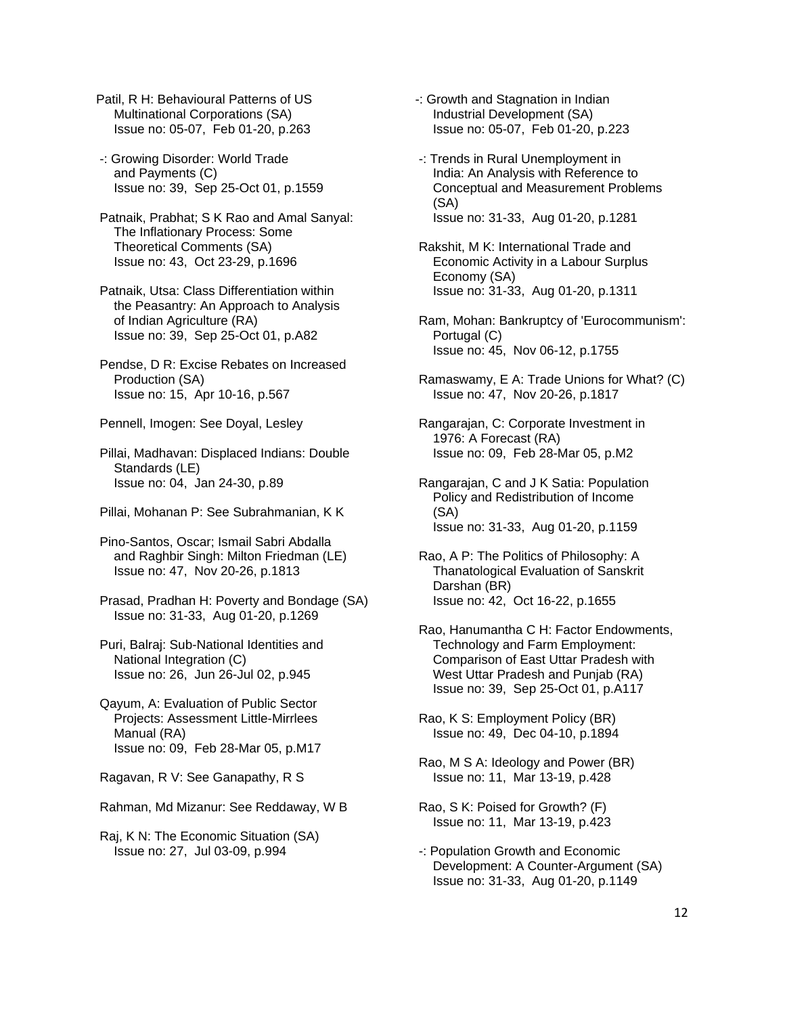Patil, R H: Behavioural Patterns of US Multinational Corporations (SA) Issue no: 05-07, Feb 01-20, p.263

- -: Growing Disorder: World Trade and Payments (C) Issue no: 39, Sep 25-Oct 01, p.1559
- Patnaik, Prabhat; S K Rao and Amal Sanyal: The Inflationary Process: Some Theoretical Comments (SA) Issue no: 43, Oct 23-29, p.1696
- Patnaik, Utsa: Class Differentiation within the Peasantry: An Approach to Analysis of Indian Agriculture (RA) Issue no: 39, Sep 25-Oct 01, p.A82
- Pendse, D R: Excise Rebates on Increased Production (SA) Issue no: 15, Apr 10-16, p.567

Pennell, Imogen: See Doyal, Lesley

 Pillai, Madhavan: Displaced Indians: Double Standards (LE) Issue no: 04, Jan 24-30, p.89

Pillai, Mohanan P: See Subrahmanian, K K

 Pino-Santos, Oscar; Ismail Sabri Abdalla and Raghbir Singh: Milton Friedman (LE) Issue no: 47, Nov 20-26, p.1813

- Prasad, Pradhan H: Poverty and Bondage (SA) Issue no: 31-33, Aug 01-20, p.1269
- Puri, Balraj: Sub-National Identities and National Integration (C) Issue no: 26, Jun 26-Jul 02, p.945
- Qayum, A: Evaluation of Public Sector Projects: Assessment Little-Mirrlees Manual (RA) Issue no: 09, Feb 28-Mar 05, p.M17
- Ragavan, R V: See Ganapathy, R S
- Rahman, Md Mizanur: See Reddaway, W B

 Raj, K N: The Economic Situation (SA) Issue no: 27, Jul 03-09, p.994

- -: Growth and Stagnation in Indian Industrial Development (SA) Issue no: 05-07, Feb 01-20, p.223
- -: Trends in Rural Unemployment in India: An Analysis with Reference to Conceptual and Measurement Problems (SA) Issue no: 31-33, Aug 01-20, p.1281
- Rakshit, M K: International Trade and Economic Activity in a Labour Surplus Economy (SA) Issue no: 31-33, Aug 01-20, p.1311
- Ram, Mohan: Bankruptcy of 'Eurocommunism': Portugal (C) Issue no: 45, Nov 06-12, p.1755
- Ramaswamy, E A: Trade Unions for What? (C) Issue no: 47, Nov 20-26, p.1817
- Rangarajan, C: Corporate Investment in 1976: A Forecast (RA) Issue no: 09, Feb 28-Mar 05, p.M2
- Rangarajan, C and J K Satia: Population Policy and Redistribution of Income (SA) Issue no: 31-33, Aug 01-20, p.1159
- Rao, A P: The Politics of Philosophy: A Thanatological Evaluation of Sanskrit Darshan (BR) Issue no: 42, Oct 16-22, p.1655
- Rao, Hanumantha C H: Factor Endowments, Technology and Farm Employment: Comparison of East Uttar Pradesh with West Uttar Pradesh and Punjab (RA) Issue no: 39, Sep 25-Oct 01, p.A117
- Rao, K S: Employment Policy (BR) Issue no: 49, Dec 04-10, p.1894
- Rao, M S A: Ideology and Power (BR) Issue no: 11, Mar 13-19, p.428
- Rao, S K: Poised for Growth? (F) Issue no: 11, Mar 13-19, p.423
- -: Population Growth and Economic Development: A Counter-Argument (SA) Issue no: 31-33, Aug 01-20, p.1149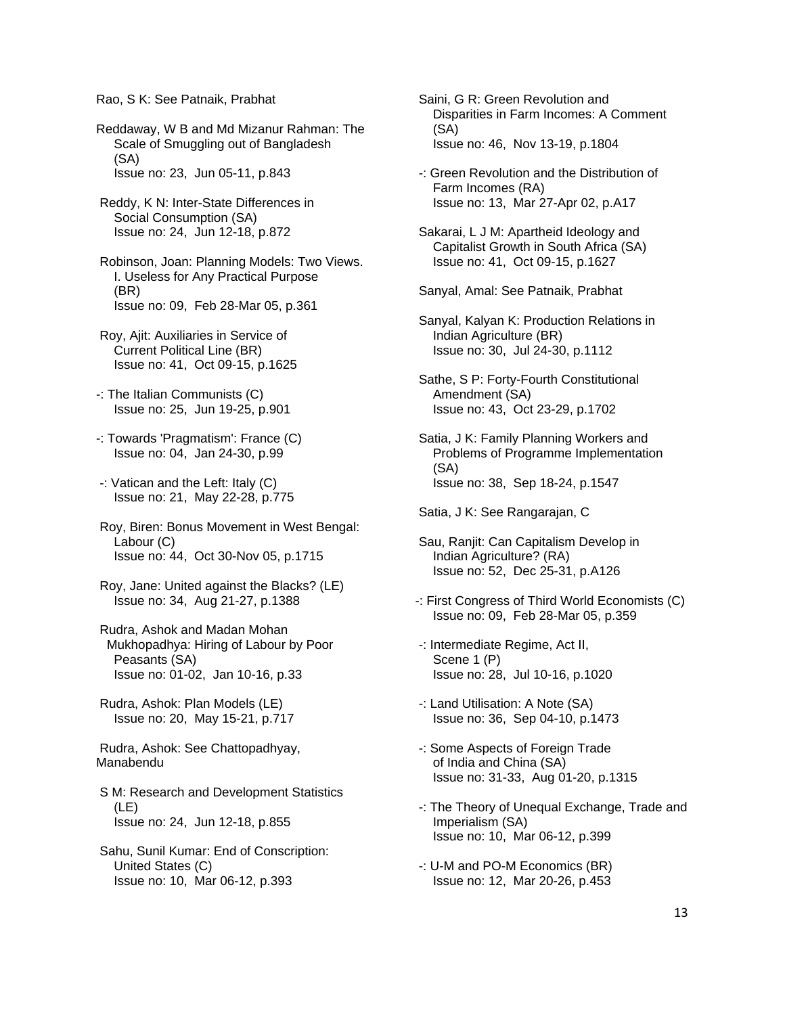## Rao, S K: See Patnaik, Prabhat

Reddaway, W B and Md Mizanur Rahman: The Scale of Smuggling out of Bangladesh (SA) Issue no: 23, Jun 05-11, p.843

 Reddy, K N: Inter-State Differences in Social Consumption (SA) Issue no: 24, Jun 12-18, p.872

 Robinson, Joan: Planning Models: Two Views. I. Useless for Any Practical Purpose (BR) Issue no: 09, Feb 28-Mar 05, p.361

 Roy, Ajit: Auxiliaries in Service of Current Political Line (BR) Issue no: 41, Oct 09-15, p.1625

-: The Italian Communists (C) Issue no: 25, Jun 19-25, p.901

-: Towards 'Pragmatism': France (C) Issue no: 04, Jan 24-30, p.99

 -: Vatican and the Left: Italy (C) Issue no: 21, May 22-28, p.775

 Roy, Biren: Bonus Movement in West Bengal: Labour (C) Issue no: 44, Oct 30-Nov 05, p.1715

 Roy, Jane: United against the Blacks? (LE) Issue no: 34, Aug 21-27, p.1388

 Rudra, Ashok and Madan Mohan Mukhopadhya: Hiring of Labour by Poor Peasants (SA) Issue no: 01-02, Jan 10-16, p.33

 Rudra, Ashok: Plan Models (LE) Issue no: 20, May 15-21, p.717

 Rudra, Ashok: See Chattopadhyay, Manabendu

 S M: Research and Development Statistics (LE) Issue no: 24, Jun 12-18, p.855

 Sahu, Sunil Kumar: End of Conscription: United States (C) Issue no: 10, Mar 06-12, p.393

 Saini, G R: Green Revolution and Disparities in Farm Incomes: A Comment (SA) Issue no: 46, Nov 13-19, p.1804

 -: Green Revolution and the Distribution of Farm Incomes (RA) Issue no: 13, Mar 27-Apr 02, p.A17

 Sakarai, L J M: Apartheid Ideology and Capitalist Growth in South Africa (SA) Issue no: 41, Oct 09-15, p.1627

Sanyal, Amal: See Patnaik, Prabhat

 Sanyal, Kalyan K: Production Relations in Indian Agriculture (BR) Issue no: 30, Jul 24-30, p.1112

 Sathe, S P: Forty-Fourth Constitutional Amendment (SA) Issue no: 43, Oct 23-29, p.1702

 Satia, J K: Family Planning Workers and Problems of Programme Implementation (SA) Issue no: 38, Sep 18-24, p.1547

Satia, J K: See Rangarajan, C

 Sau, Ranjit: Can Capitalism Develop in Indian Agriculture? (RA) Issue no: 52, Dec 25-31, p.A126

-: First Congress of Third World Economists (C) Issue no: 09, Feb 28-Mar 05, p.359

 -: Intermediate Regime, Act II, Scene 1 (P) Issue no: 28, Jul 10-16, p.1020

 -: Land Utilisation: A Note (SA) Issue no: 36, Sep 04-10, p.1473

 -: Some Aspects of Foreign Trade of India and China (SA) Issue no: 31-33, Aug 01-20, p.1315

 -: The Theory of Unequal Exchange, Trade and Imperialism (SA) Issue no: 10, Mar 06-12, p.399

 -: U-M and PO-M Economics (BR) Issue no: 12, Mar 20-26, p.453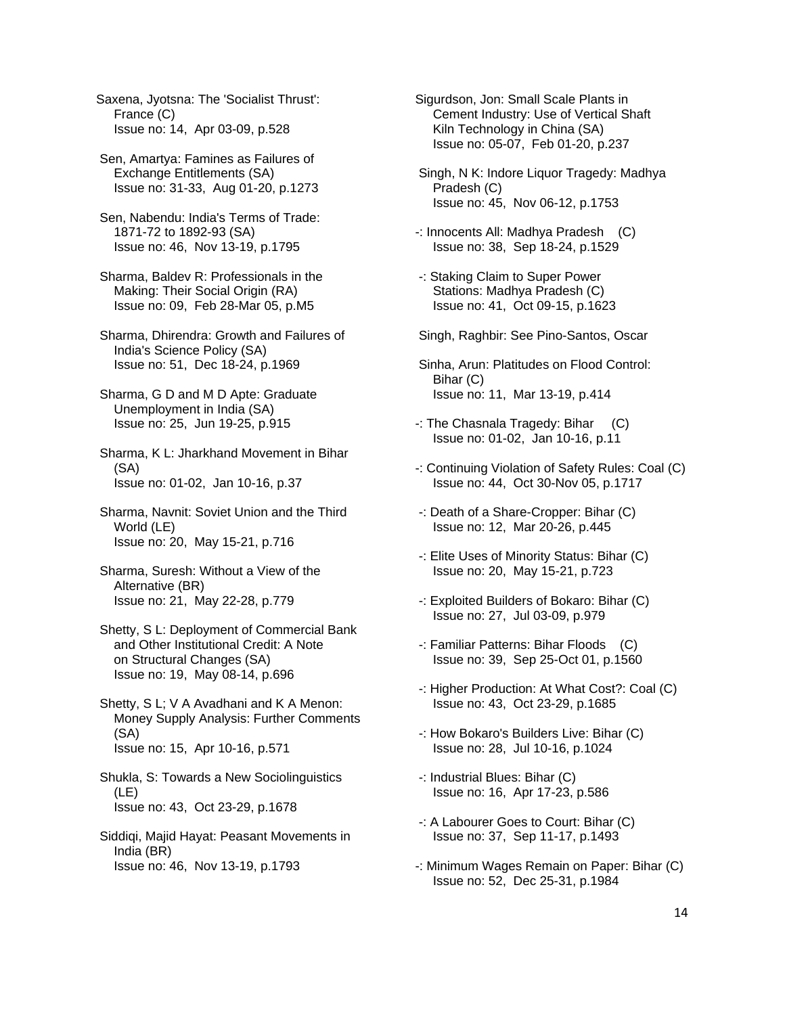Saxena, Jyotsna: The 'Socialist Thrust': France (C) Issue no: 14, Apr 03-09, p.528

 Sen, Amartya: Famines as Failures of Exchange Entitlements (SA) Issue no: 31-33, Aug 01-20, p.1273

- Sen, Nabendu: India's Terms of Trade: 1871-72 to 1892-93 (SA) Issue no: 46, Nov 13-19, p.1795
- Sharma, Baldev R: Professionals in the Making: Their Social Origin (RA) Issue no: 09, Feb 28-Mar 05, p.M5

 Sharma, Dhirendra: Growth and Failures of India's Science Policy (SA) Issue no: 51, Dec 18-24, p.1969

 Sharma, G D and M D Apte: Graduate Unemployment in India (SA) Issue no: 25, Jun 19-25, p.915

 Sharma, K L: Jharkhand Movement in Bihar (SA) Issue no: 01-02, Jan 10-16, p.37

 Sharma, Navnit: Soviet Union and the Third World (LE) Issue no: 20, May 15-21, p.716

 Sharma, Suresh: Without a View of the Alternative (BR) Issue no: 21, May 22-28, p.779

 Shetty, S L: Deployment of Commercial Bank and Other Institutional Credit: A Note on Structural Changes (SA) Issue no: 19, May 08-14, p.696

 Shetty, S L; V A Avadhani and K A Menon: Money Supply Analysis: Further Comments (SA) Issue no: 15, Apr 10-16, p.571

 Shukla, S: Towards a New Sociolinguistics (LE) Issue no: 43, Oct 23-29, p.1678

 Siddiqi, Majid Hayat: Peasant Movements in India (BR) Issue no: 46, Nov 13-19, p.1793

Sigurdson, Jon: Small Scale Plants in Cement Industry: Use of Vertical Shaft Kiln Technology in China (SA) Issue no: 05-07, Feb 01-20, p.237

 Singh, N K: Indore Liquor Tragedy: Madhya Pradesh (C) Issue no: 45, Nov 06-12, p.1753

-: Innocents All: Madhya Pradesh (C) Issue no: 38, Sep 18-24, p.1529

- -: Staking Claim to Super Power Stations: Madhya Pradesh (C) Issue no: 41, Oct 09-15, p.1623
- Singh, Raghbir: See Pino-Santos, Oscar
- Sinha, Arun: Platitudes on Flood Control: Bihar (C) Issue no: 11, Mar 13-19, p.414
- -: The Chasnala Tragedy: Bihar (C) Issue no: 01-02, Jan 10-16, p.11
- -: Continuing Violation of Safety Rules: Coal (C) Issue no: 44, Oct 30-Nov 05, p.1717
- -: Death of a Share-Cropper: Bihar (C) Issue no: 12, Mar 20-26, p.445
- -: Elite Uses of Minority Status: Bihar (C) Issue no: 20, May 15-21, p.723
- -: Exploited Builders of Bokaro: Bihar (C) Issue no: 27, Jul 03-09, p.979
- -: Familiar Patterns: Bihar Floods (C) Issue no: 39, Sep 25-Oct 01, p.1560
- -: Higher Production: At What Cost?: Coal (C) Issue no: 43, Oct 23-29, p.1685
- -: How Bokaro's Builders Live: Bihar (C) Issue no: 28, Jul 10-16, p.1024
- -: Industrial Blues: Bihar (C) Issue no: 16, Apr 17-23, p.586
- -: A Labourer Goes to Court: Bihar (C) Issue no: 37, Sep 11-17, p.1493
- -: Minimum Wages Remain on Paper: Bihar (C) Issue no: 52, Dec 25-31, p.1984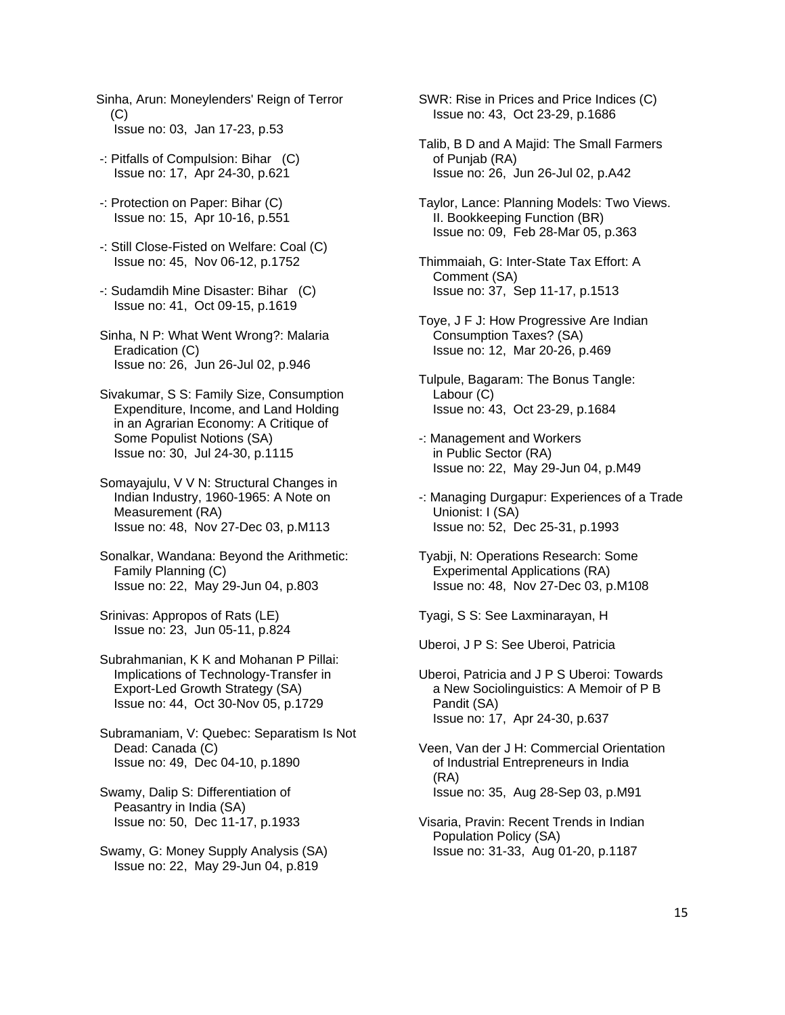- Sinha, Arun: Moneylenders' Reign of Terror  $(C)$ Issue no: 03, Jan 17-23, p.53
- -: Pitfalls of Compulsion: Bihar (C) Issue no: 17, Apr 24-30, p.621
- -: Protection on Paper: Bihar (C) Issue no: 15, Apr 10-16, p.551
- -: Still Close-Fisted on Welfare: Coal (C) Issue no: 45, Nov 06-12, p.1752
- -: Sudamdih Mine Disaster: Bihar (C) Issue no: 41, Oct 09-15, p.1619
- Sinha, N P: What Went Wrong?: Malaria Eradication (C) Issue no: 26, Jun 26-Jul 02, p.946
- Sivakumar, S S: Family Size, Consumption Expenditure, Income, and Land Holding in an Agrarian Economy: A Critique of Some Populist Notions (SA) Issue no: 30, Jul 24-30, p.1115
- Somayajulu, V V N: Structural Changes in Indian Industry, 1960-1965: A Note on Measurement (RA) Issue no: 48, Nov 27-Dec 03, p.M113
- Sonalkar, Wandana: Beyond the Arithmetic: Family Planning (C) Issue no: 22, May 29-Jun 04, p.803
- Srinivas: Appropos of Rats (LE) Issue no: 23, Jun 05-11, p.824
- Subrahmanian, K K and Mohanan P Pillai: Implications of Technology-Transfer in Export-Led Growth Strategy (SA) Issue no: 44, Oct 30-Nov 05, p.1729
- Subramaniam, V: Quebec: Separatism Is Not Dead: Canada (C) Issue no: 49, Dec 04-10, p.1890
- Swamy, Dalip S: Differentiation of Peasantry in India (SA) Issue no: 50, Dec 11-17, p.1933
- Swamy, G: Money Supply Analysis (SA) Issue no: 22, May 29-Jun 04, p.819

 SWR: Rise in Prices and Price Indices (C) Issue no: 43, Oct 23-29, p.1686

- Talib, B D and A Majid: The Small Farmers of Punjab (RA) Issue no: 26, Jun 26-Jul 02, p.A42
- Taylor, Lance: Planning Models: Two Views. II. Bookkeeping Function (BR) Issue no: 09, Feb 28-Mar 05, p.363
- Thimmaiah, G: Inter-State Tax Effort: A Comment (SA) Issue no: 37, Sep 11-17, p.1513
- Toye, J F J: How Progressive Are Indian Consumption Taxes? (SA) Issue no: 12, Mar 20-26, p.469
- Tulpule, Bagaram: The Bonus Tangle: Labour (C) Issue no: 43, Oct 23-29, p.1684
- -: Management and Workers in Public Sector (RA) Issue no: 22, May 29-Jun 04, p.M49
- -: Managing Durgapur: Experiences of a Trade Unionist: I (SA) Issue no: 52, Dec 25-31, p.1993
- Tyabji, N: Operations Research: Some Experimental Applications (RA) Issue no: 48, Nov 27-Dec 03, p.M108

Tyagi, S S: See Laxminarayan, H

Uberoi, J P S: See Uberoi, Patricia

 Uberoi, Patricia and J P S Uberoi: Towards a New Sociolinguistics: A Memoir of P B Pandit (SA) Issue no: 17, Apr 24-30, p.637

 Veen, Van der J H: Commercial Orientation of Industrial Entrepreneurs in India (RA) Issue no: 35, Aug 28-Sep 03, p.M91

 Visaria, Pravin: Recent Trends in Indian Population Policy (SA) Issue no: 31-33, Aug 01-20, p.1187